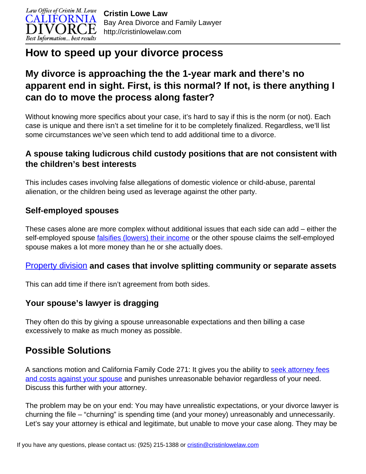

# **How to speed up your divorce process**

# **My divorce is approaching the the 1-year mark and there's no apparent end in sight. First, is this normal? If not, is there anything I can do to move the process along faster?**

Without knowing more specifics about your case, it's hard to say if this is the norm (or not). Each case is unique and there isn't a set timeline for it to be completely finalized. Regardless, we'll list some circumstances we've seen which tend to add additional time to a divorce.

### **A spouse taking ludicrous child custody positions that are not consistent with the children's best interests**

This includes cases involving false allegations of domestic violence or child-abuse, parental alienation, or the children being used as leverage against the other party.

### **Self-employed spouses**

These cases alone are more complex without additional issues that each side can add – either the self-employed spouse *falsifies (lowers)* their income or the other spouse claims the self-employed spouse makes a lot more money than he or she actually does.

#### [Property division](http://cristinlowelaw.com/videos/property-division/) **and cases that involve splitting community or separate assets**

This can add time if there isn't agreement from both sides.

#### **Your spouse's lawyer is dragging**

They often do this by giving a spouse unreasonable expectations and then billing a case excessively to make as much money as possible.

## **Possible Solutions**

A sanctions motion and California Family Code 271: It gives you the ability to [seek attorney fees](http://cristinlowelaw.com/can-i-make-my-spouse-pay-for-my-attorney-fees-in-california/) [and costs against your spouse](http://cristinlowelaw.com/can-i-make-my-spouse-pay-for-my-attorney-fees-in-california/) and punishes unreasonable behavior regardless of your need. Discuss this further with your attorney.

The problem may be on your end: You may have unrealistic expectations, or your divorce lawyer is churning the file – "churning" is spending time (and your money) unreasonably and unnecessarily. Let's say your attorney is ethical and legitimate, but unable to move your case along. They may be